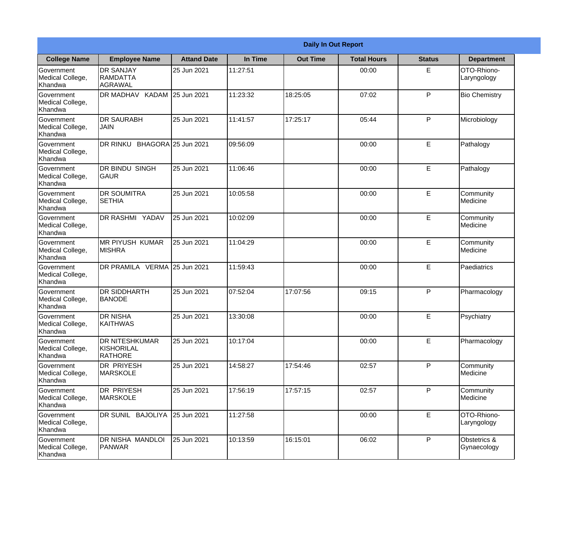|                                                  | <b>Daily In Out Report</b>                            |                     |          |                 |                    |               |                             |  |
|--------------------------------------------------|-------------------------------------------------------|---------------------|----------|-----------------|--------------------|---------------|-----------------------------|--|
| <b>College Name</b>                              | <b>Employee Name</b>                                  | <b>Attand Date</b>  | In Time  | <b>Out Time</b> | <b>Total Hours</b> | <b>Status</b> | <b>Department</b>           |  |
| Government<br>Medical College,<br>Khandwa        | <b>DR SANJAY</b><br><b>RAMDATTA</b><br><b>AGRAWAL</b> | 25 Jun 2021         | 11:27:51 |                 | 00:00              | E             | OTO-Rhiono-<br>Laryngology  |  |
| Government<br>Medical College,<br>Khandwa        | <b>KADAM</b><br>DR MADHAV                             | 25 Jun 2021         | 11:23:32 | 18:25:05        | 07:02              | P             | <b>Bio Chemistry</b>        |  |
| <b>Government</b><br>Medical College,<br>Khandwa | <b>DR SAURABH</b><br><b>JAIN</b>                      | 25 Jun 2021         | 11:41:57 | 17:25:17        | 05:44              | P             | Microbiology                |  |
| Government<br>Medical College,<br>Khandwa        | DR RINKU                                              | BHAGORA 25 Jun 2021 | 09:56:09 |                 | 00:00              | E             | Pathalogy                   |  |
| Government<br>Medical College,<br>Khandwa        | <b>DR BINDU SINGH</b><br> GAUR                        | 25 Jun 2021         | 11:06:46 |                 | 00:00              | E             | Pathalogy                   |  |
| Government<br>Medical College,<br>Khandwa        | <b>DR SOUMITRA</b><br><b>SETHIA</b>                   | 25 Jun 2021         | 10:05:58 |                 | 00:00              | E             | Community<br>Medicine       |  |
| <b>Government</b><br>Medical College,<br>Khandwa | <b>DR RASHMI YADAV</b>                                | 25 Jun 2021         | 10:02:09 |                 | 00:00              | E             | Community<br>Medicine       |  |
| <b>Government</b><br>Medical College,<br>Khandwa | <b>MR PIYUSH KUMAR</b><br><b>MISHRA</b>               | 25 Jun 2021         | 11:04:29 |                 | 00:00              | E             | Community<br>Medicine       |  |
| Government<br>Medical College,<br>Khandwa        | <b>DR PRAMILA VERMA</b>                               | 25 Jun 2021         | 11:59:43 |                 | 00:00              | E             | Paediatrics                 |  |
| Government<br>Medical College,<br>Khandwa        | <b>DR SIDDHARTH</b><br><b>BANODE</b>                  | 25 Jun 2021         | 07:52:04 | 17:07:56        | 09:15              | P             | Pharmacology                |  |
| Government<br>Medical College,<br>Khandwa        | <b>DR NISHA</b><br>KAITHWAS                           | 25 Jun 2021         | 13:30:08 |                 | 00:00              | E             | Psychiatry                  |  |
| Government<br>Medical College,<br>Khandwa        | DR NITESHKUMAR<br>KISHORILAL<br><b>RATHORE</b>        | 25 Jun 2021         | 10:17:04 |                 | 00:00              | E             | Pharmacology                |  |
| Government<br>Medical College,<br>Khandwa        | <b>DR PRIYESH</b><br><b>MARSKOLE</b>                  | 25 Jun 2021         | 14:58:27 | 17:54:46        | 02:57              | P             | Community<br>Medicine       |  |
| Government<br>Medical College,<br>Khandwa        | DR PRIYESH<br><b>MARSKOLE</b>                         | 25 Jun 2021         | 17:56:19 | 17:57:15        | 02:57              | P             | Community<br>Medicine       |  |
| Government<br>Medical College,<br>Khandwa        | DR SUNIL BAJOLIYA                                     | 25 Jun 2021         | 11:27:58 |                 | 00:00              | E             | OTO-Rhiono-<br>Laryngology  |  |
| Government<br>Medical College,<br>Khandwa        | DR NISHA MANDLOI<br><b>PANWAR</b>                     | 25 Jun 2021         | 10:13:59 | 16:15:01        | 06:02              | P             | Obstetrics &<br>Gynaecology |  |